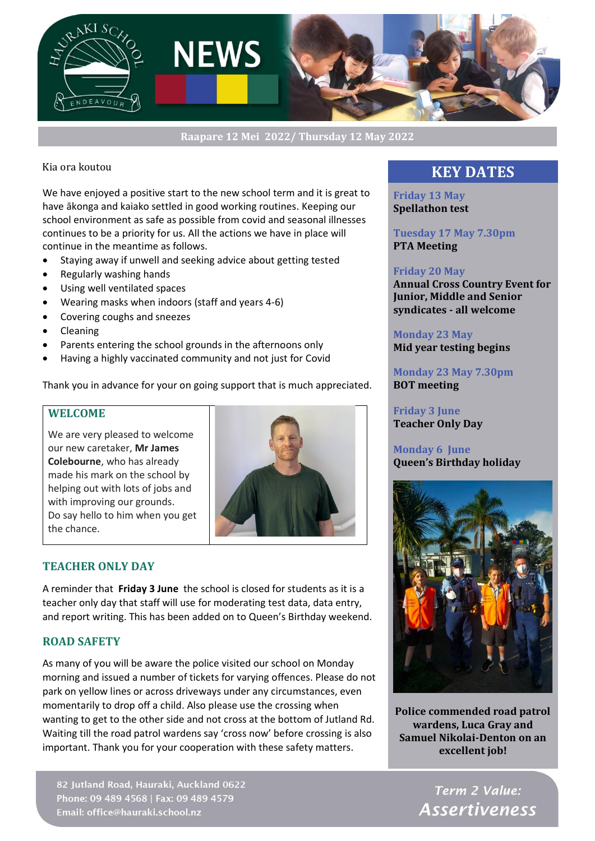

**Raapare 12 Mei 2022/ Thursday 12 May 2022**

## Kia ora koutou

We have enjoyed a positive start to the new school term and it is great to have ākonga and kaiako settled in good working routines. Keeping our school environment as safe as possible from covid and seasonal illnesses continues to be a priority for us. All the actions we have in place will continue in the meantime as follows.

- Staying away if unwell and seeking advice about getting tested
- Regularly washing hands
- Using well ventilated spaces
- Wearing masks when indoors (staff and years 4-6)
- Covering coughs and sneezes
- Cleaning
- Parents entering the school grounds in the afternoons only
- Having a highly vaccinated community and not just for Covid

Thank you in advance for your on going support that is much appreciated.

## **WELCOME**

We are very pleased to welcome our new caretaker, **Mr James Colebourne**, who has already made his mark on the school by helping out with lots of jobs and with improving our grounds. Do say hello to him when you get the chance.



## **TEACHER ONLY DAY**

A reminder that **Friday 3 June** the school is closed for students as it is a teacher only day that staff will use for moderating test data, data entry, and report writing. This has been added on to Queen's Birthday weekend.

## **ROAD SAFETY**

As many of you will be aware the police visited our school on Monday morning and issued a number of tickets for varying offences. Please do not park on yellow lines or across driveways under any circumstances, even momentarily to drop off a child. Also please use the crossing when wanting to get to the other side and not cross at the bottom of Jutland Rd. Waiting till the road patrol wardens say 'cross now' before crossing is also important. Thank you for your cooperation with these safety matters.

82 Jutland Road, Hauraki, Auckland 0622 Phone: 09 489 4568 | Fax: 09 489 4579 Email: office@hauraki.school.nz

## **KEY DATES**

**Friday 13 May Spellathon test**

**Tuesday 17 May 7.30pm PTA Meeting** 

#### **Friday 20 May**

**Annual Cross Country Event for Junior, Middle and Senior syndicates - all welcome**

**Monday 23 May Mid year testing begins**

**Monday 23 May 7.30pm BOT meeting**

**Friday 3 June Teacher Only Day**

## **Monday 6 June Queen's Birthday holiday**



**Police commended road patrol wardens, Luca Gray and Samuel Nikolai-Denton on an excellent job!**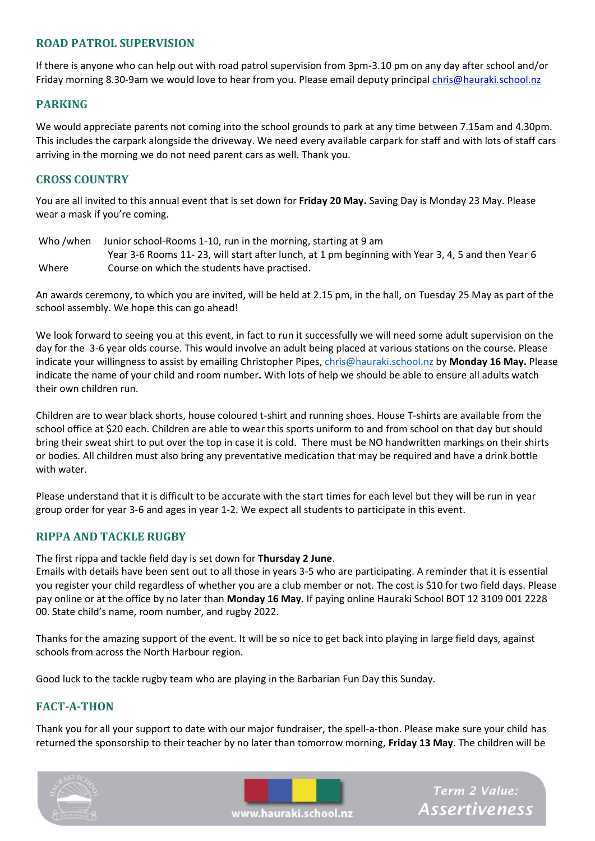## **ROAD PATROL SUPERVISION**

If there is anyone who can help out with road patrol supervision from 3pm-3.10 pm on any day after school and/or Friday morning 8.30-9am we would love to hear from you. Please email deputy principa[l chris@hauraki.school.nz](mailto:chris@hauraki.school.nz)

## **PARKING**

We would appreciate parents not coming into the school grounds to park at any time between 7.15am and 4.30pm. This includes the carpark alongside the driveway. We need every available carpark for staff and with lots of staff cars arriving in the morning we do not need parent cars as well. Thank you.

## **CROSS COUNTRY**

You are all invited to this annual event that is set down for **Friday 20 May.** Saving Day is Monday 23 May. Please wear a mask if you're coming.

Who /when Junior school-Rooms 1-10, run in the morning, starting at 9 am Year 3-6 Rooms 11- 23, will start after lunch, at 1 pm beginning with Year 3, 4, 5 and then Year 6 Where Course on which the students have practised.

An awards ceremony, to which you are invited, will be held at 2.15 pm, in the hall, on Tuesday 25 May as part of the school assembly. We hope this can go ahead!

We look forward to seeing you at this event, in fact to run it successfully we will need some adult supervision on the day for the 3-6 year olds course. This would involve an adult being placed at various stations on the course. Please indicate your willingness to assist by emailing Christopher Pipes, [chris@hauraki.school.nz](mailto:chris@hauraki.school.nz) by **Monday 16 May.** Please indicate the name of your child and room number**.** With lots of help we should be able to ensure all adults watch their own children run.

Children are to wear black shorts, house coloured t-shirt and running shoes. House T-shirts are available from the school office at \$20 each. Children are able to wear this sports uniform to and from school on that day but should bring their sweat shirt to put over the top in case it is cold. There must be NO handwritten markings on their shirts or bodies. All children must also bring any preventative medication that may be required and have a drink bottle with water.

Please understand that it is difficult to be accurate with the start times for each level but they will be run in year group order for year 3-6 and ages in year 1-2. We expect all students to participate in this event.

## **RIPPA AND TACKLE RUGBY**

The first rippa and tackle field day is set down for **Thursday 2 June**.

Emails with details have been sent out to all those in years 3-5 who are participating. A reminder that it is essential you register your child regardless of whether you are a club member or not. The cost is \$10 for two field days. Please pay online or at the office by no later than **Monday 16 May**. If paying online Hauraki School BOT 12 3109 001 2228 00. State child's name, room number, and rugby 2022.

Thanks for the amazing support of the event. It will be so nice to get back into playing in large field days, against schools from across the North Harbour region.

Good luck to the tackle rugby team who are playing in the Barbarian Fun Day this Sunday.

## **FACT-A-THON**

Thank you for all your support to date with our major fundraiser, the spell-a-thon. Please make sure your child has returned the sponsorship to their teacher by no later than tomorrow morning, **Friday 13 May**. The children will be





Term 2 Value: **Assertiveness** 

www.hauraki.school.nz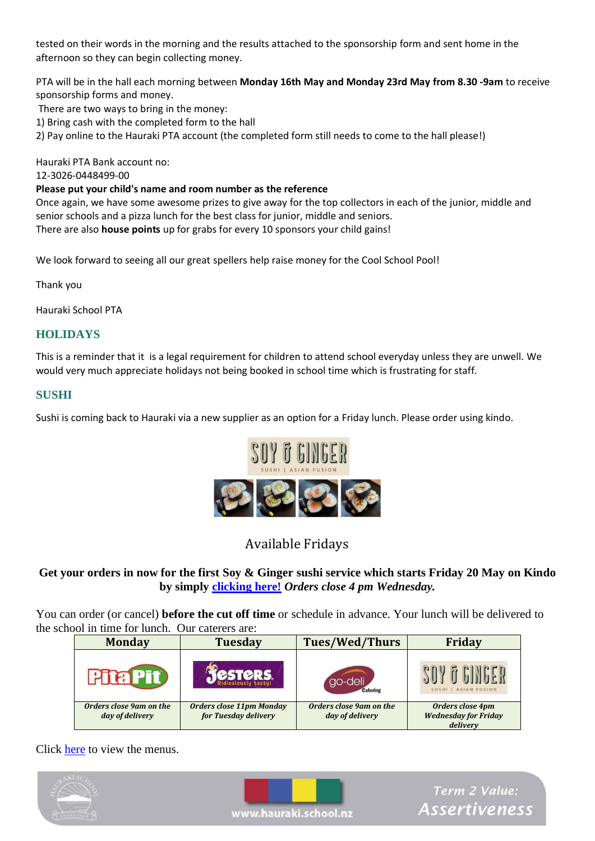tested on their words in the morning and the results attached to the sponsorship form and sent home in the afternoon so they can begin collecting money.

PTA will be in the hall each morning between **Monday 16th May and Monday 23rd May from 8.30 -9am** to receive sponsorship forms and money.

There are two ways to bring in the money:

1) Bring cash with the completed form to the hall

2) Pay online to the Hauraki PTA account (the completed form still needs to come to the hall please!)

Hauraki PTA Bank account no:

12-3026-0448499-00

## **Please put your child's name and room number as the reference**

Once again, we have some awesome prizes to give away for the top collectors in each of the junior, middle and senior schools and a pizza lunch for the best class for junior, middle and seniors. There are also **house points** up for grabs for every 10 sponsors your child gains!

We look forward to seeing all our great spellers help raise money for the Cool School Pool!

Thank you

Hauraki School PTA

## **HOLIDAYS**

This is a reminder that it is a legal requirement for children to attend school everyday unless they are unwell. We would very much appreciate holidays not being booked in school time which is frustrating for staff.

## **SUSHI**

Sushi is coming back to Hauraki via a new supplier as an option for a Friday lunch. Please order using kindo.



## Available Fridays

## **Get your orders in now for the first Soy & Ginger sushi service which starts Friday 20 May on Kindo by simply [clicking here!](https://bit.ly/2IWcA24)** *Orders close 4 pm Wednesday.*

You can order (or cancel) **before the cut off time** or schedule in advance. Your lunch will be delivered to the school in time for lunch. Our caterers are:

| <b>Monday</b>                              | <b>Tuesday</b>                                          | <b>Tues/Wed/Thurs</b>                      | <b>Friday</b>                                               |
|--------------------------------------------|---------------------------------------------------------|--------------------------------------------|-------------------------------------------------------------|
|                                            | <b>CSTCRS.</b>                                          | go-deli<br><b>Catering</b>                 | SUSHI   ASIAN FUSION                                        |
| Orders close 9am on the<br>day of delivery | <b>Orders close 11pm Monday</b><br>for Tuesday delivery | Orders close 9am on the<br>day of delivery | Orders close 4pm<br><b>Wednesday for Friday</b><br>delivery |

Click [here](https://shop.tgcl.co.nz/shop/pdf/school/hauraki_school/Menu.pdf) to view the menus.

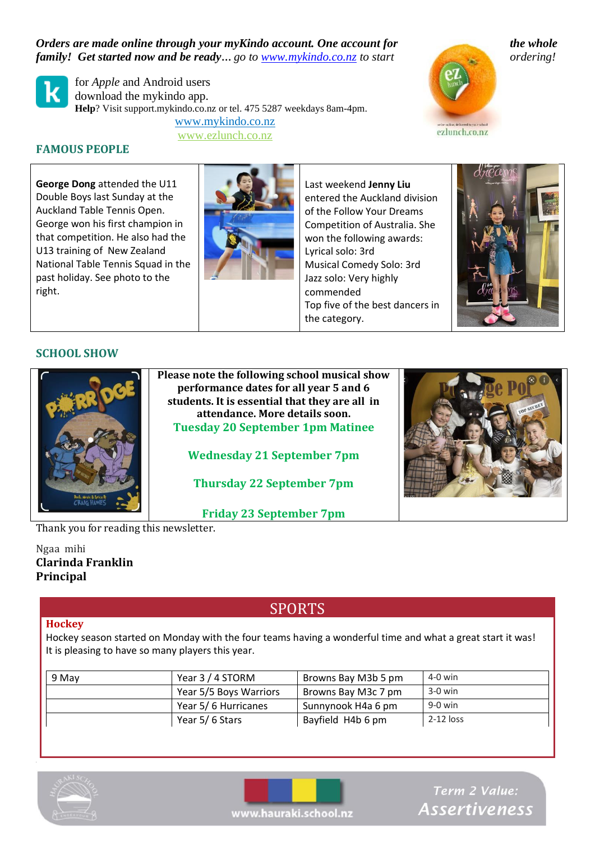*Orders are made online through your myKindo account. One account for the whole family! Get started now and be ready… go to [www.mykindo.co.nz](http://www.mykindo.co.nz/) to start ordering!*



for *Apple* and Android users download the mykindo app. **Help**? Visit support.mykindo.co.nz or tel. 475 5287 weekdays 8am-4pm. [www.mykindo.co.nz](https://shop.tgcl.co.nz/shop/index.html)

www.ezlunch.co.nz



**FAMOUS PEOPLE**

**George Dong** attended the U11 Double Boys last Sunday at the Auckland Table Tennis Open. George won his first champion in that competition. He also had the U13 training of New Zealand National Table Tennis Squad in the past holiday. See photo to the right.



Last weekend **Jenny Liu** entered the Auckland division of the Follow Your Dreams Competition of Australia. She won the following awards: Lyrical solo: 3rd Musical Comedy Solo: 3rd Jazz solo: Very highly commended Top five of the best dancers in the category.



## **SCHOOL SHOW**



**Please note the following school musical show performance dates for all year 5 and 6 students. It is essential that they are all in attendance. More details soon. Tuesday 20 September 1pm Matinee**

**Wednesday 21 September 7pm**

**Thursday 22 September 7pm**

**Friday 23 September 7pm**

Thank you for reading this newsletter.

Ngaa mihi **Clarinda Franklin Principal**

# SPORTS

## **Hockey**

Hockey season started on Monday with the four teams having a wonderful time and what a great start it was! It is pleasing to have so many players this year.

| 9 May | Year 3 / 4 STORM       | Browns Bay M3b 5 pm | 4-0 win   |
|-------|------------------------|---------------------|-----------|
|       | Year 5/5 Boys Warriors | Browns Bay M3c 7 pm | $3-0$ win |
|       | Year 5/6 Hurricanes    | Sunnynook H4a 6 pm  | 9-0 win   |
|       | Year 5/6 Stars         | Bayfield H4b 6 pm   | 2-12 loss |





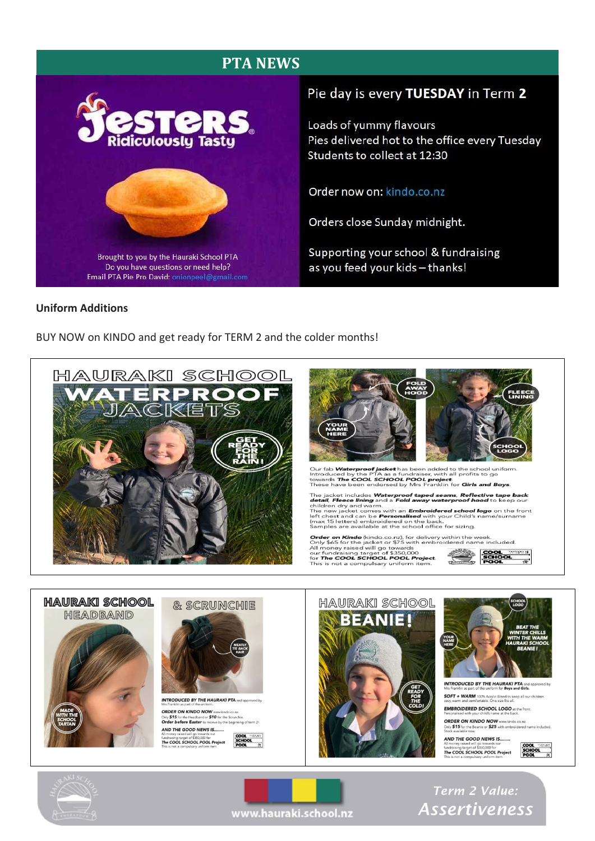## **PTA NEWS**



## Pie day is every TUESDAY in Term 2

Loads of yummy flavours Pies delivered hot to the office every Tuesday Students to collect at 12:30

## Order now on: kindo.co.nz

Orders close Sunday midnight.

Supporting your school & fundraising as you feed your kids - thanks!

#### **Uniform Additions**

BUY NOW on KINDO and get ready for TERM 2 and the colder months!





Our fab **Waterproof jacket** has been added to the school uniform.<br>Introduced by the PTA as a fundraiser, with all profits to go<br>towards **The COOL SCHOOL POOL project**.<br>These have been endorsed by Mrs Franklin for **Girls an** 

The jacket includes **Waterproof taped seams**, **Reflective tape back**<br>**detail, Fleece lining** and a **Fold away waterproof hood** to keep our children dry and warm.<br>The new jacket comes with an **Embroidered school logo** on th

**Order on Kindo** (kindo.co.nz), for delivery within the week.<br>Only \$65 for the jacket or \$75 with embroidered name included.<br>All money raised will go towards<br>our fundraising target of \$350,000<br>for **The COOL SCHOOL POOL Pro** 







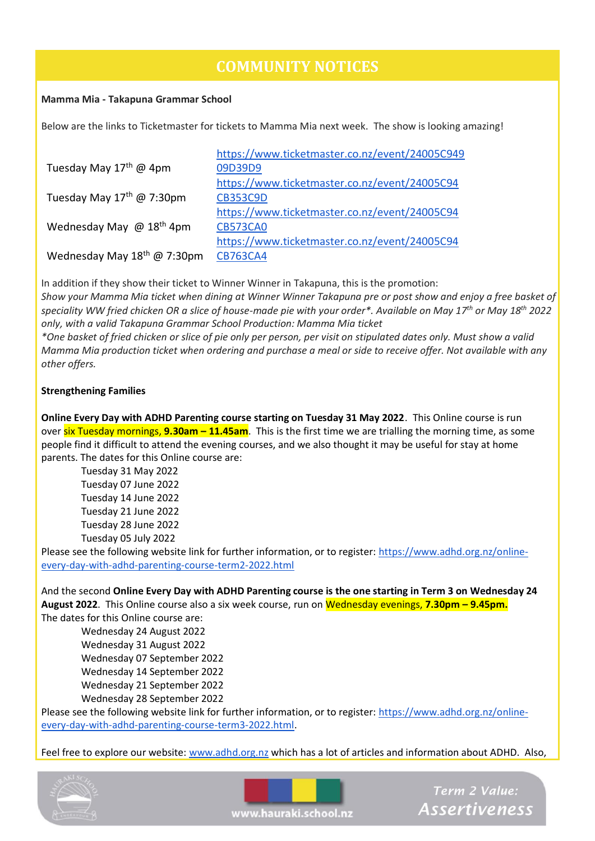# **COMMUNITY NOTICES**

## **Mamma Mia - Takapuna Grammar School**

Below are the links to Ticketmaster for tickets to Mamma Mia next week. The show is looking amazing!

|                                             | https://www.ticketmaster.co.nz/event/24005C949 |
|---------------------------------------------|------------------------------------------------|
| Tuesday May 17 <sup>th</sup> @ 4pm          | 09D39D9                                        |
|                                             | https://www.ticketmaster.co.nz/event/24005C94  |
| Tuesday May $17th$ @ 7:30pm                 | <b>CB353C9D</b>                                |
|                                             | https://www.ticketmaster.co.nz/event/24005C94  |
| Wednesday May $\omega$ 18 <sup>th</sup> 4pm | <b>CB573CA0</b>                                |
|                                             | https://www.ticketmaster.co.nz/event/24005C94  |
| Wednesday May 18th @ 7:30pm                 | <b>CB763CA4</b>                                |

In addition if they show their ticket to Winner Winner in Takapuna, this is the promotion: *Show your Mamma Mia ticket when dining at Winner Winner Takapuna pre or post show and enjoy a free basket of speciality WW fried chicken OR a slice of house-made pie with your order\*. Available on May 17th or May 18th 2022 only, with a valid Takapuna Grammar School Production: Mamma Mia ticket*

*\*One basket of fried chicken or slice of pie only per person, per visit on stipulated dates only. Must show a valid Mamma Mia production ticket when ordering and purchase a meal or side to receive offer. Not available with any other offers.*

## **Strengthening Families**

**Online Every Day with ADHD Parenting course starting on Tuesday 31 May 2022**. This Online course is run over six Tuesday mornings, **9.30am – 11.45am**. This is the first time we are trialling the morning time, as some people find it difficult to attend the evening courses, and we also thought it may be useful for stay at home parents. The dates for this Online course are:

Tuesday 31 May 2022 Tuesday 07 June 2022 Tuesday 14 June 2022 Tuesday 21 June 2022 Tuesday 28 June 2022 Tuesday 05 July 2022

Please see the following website link for further information, or to register: [https://www.adhd.org.nz/online](https://aus01.safelinks.protection.outlook.com/?url=https%3A%2F%2Fwww.adhd.org.nz%2Fonline-every-day-with-adhd-parenting-course-term2-2022.html&data=05%7C01%7Csylvie%40heartsandminds.org.nz%7Cf246abc1398b44d44c8708da2e3dee6a%7C4d2cc0edfbff48af9354167c777a3093%7C1%7C1%7C637873140797969285%7CUnknown%7CTWFpbGZsb3d8eyJWIjoiMC4wLjAwMDAiLCJQIjoiV2luMzIiLCJBTiI6Ik1haWwiLCJXVCI6Mn0%3D%7C3000%7C%7C%7C&sdata=XLqGPBR%2FEJWYRg9eA0XZq%2BKX%2BwCTRuEdENimgNR2%2BFI%3D&reserved=0)[every-day-with-adhd-parenting-course-term2-2022.html](https://aus01.safelinks.protection.outlook.com/?url=https%3A%2F%2Fwww.adhd.org.nz%2Fonline-every-day-with-adhd-parenting-course-term2-2022.html&data=05%7C01%7Csylvie%40heartsandminds.org.nz%7Cf246abc1398b44d44c8708da2e3dee6a%7C4d2cc0edfbff48af9354167c777a3093%7C1%7C1%7C637873140797969285%7CUnknown%7CTWFpbGZsb3d8eyJWIjoiMC4wLjAwMDAiLCJQIjoiV2luMzIiLCJBTiI6Ik1haWwiLCJXVCI6Mn0%3D%7C3000%7C%7C%7C&sdata=XLqGPBR%2FEJWYRg9eA0XZq%2BKX%2BwCTRuEdENimgNR2%2BFI%3D&reserved=0)

And the second **Online Every Day with ADHD Parenting course is the one starting in Term 3 on Wednesday 24 August 2022**. This Online course also a six week course, run on Wednesday evenings, **7.30pm – 9.45pm.** The dates for this Online course are:

Wednesday 24 August 2022 Wednesday 31 August 2022 Wednesday 07 September 2022 Wednesday 14 September 2022 Wednesday 21 September 2022 Wednesday 28 September 2022

Please see the following website link for further information, or to register: [https://www.adhd.org.nz/online](https://aus01.safelinks.protection.outlook.com/?url=https%3A%2F%2Fwww.adhd.org.nz%2Fonline-every-day-with-adhd-parenting-course-term3-2022.html&data=05%7C01%7Csylvie%40heartsandminds.org.nz%7Cf246abc1398b44d44c8708da2e3dee6a%7C4d2cc0edfbff48af9354167c777a3093%7C1%7C1%7C637873140797969285%7CUnknown%7CTWFpbGZsb3d8eyJWIjoiMC4wLjAwMDAiLCJQIjoiV2luMzIiLCJBTiI6Ik1haWwiLCJXVCI6Mn0%3D%7C3000%7C%7C%7C&sdata=yZ%2BqRj%2FA1nJ346psP8rFbMWe4yX0PzAiCazbhoZL2Ns%3D&reserved=0)[every-day-with-adhd-parenting-course-term3-2022.html.](https://aus01.safelinks.protection.outlook.com/?url=https%3A%2F%2Fwww.adhd.org.nz%2Fonline-every-day-with-adhd-parenting-course-term3-2022.html&data=05%7C01%7Csylvie%40heartsandminds.org.nz%7Cf246abc1398b44d44c8708da2e3dee6a%7C4d2cc0edfbff48af9354167c777a3093%7C1%7C1%7C637873140797969285%7CUnknown%7CTWFpbGZsb3d8eyJWIjoiMC4wLjAwMDAiLCJQIjoiV2luMzIiLCJBTiI6Ik1haWwiLCJXVCI6Mn0%3D%7C3000%7C%7C%7C&sdata=yZ%2BqRj%2FA1nJ346psP8rFbMWe4yX0PzAiCazbhoZL2Ns%3D&reserved=0)

Feel free to explore our website: [www.adhd.org.nz](https://aus01.safelinks.protection.outlook.com/?url=http%3A%2F%2Fwww.adhd.org.nz%2F&data=05%7C01%7Csylvie%40heartsandminds.org.nz%7Cf246abc1398b44d44c8708da2e3dee6a%7C4d2cc0edfbff48af9354167c777a3093%7C1%7C1%7C637873140797969285%7CUnknown%7CTWFpbGZsb3d8eyJWIjoiMC4wLjAwMDAiLCJQIjoiV2luMzIiLCJBTiI6Ik1haWwiLCJXVCI6Mn0%3D%7C3000%7C%7C%7C&sdata=7W9lXX2Zgi69n2Rmf133y7ukv8fTz6m6R0pbeEZwUeU%3D&reserved=0) which has a lot of articles and information about ADHD. Also,